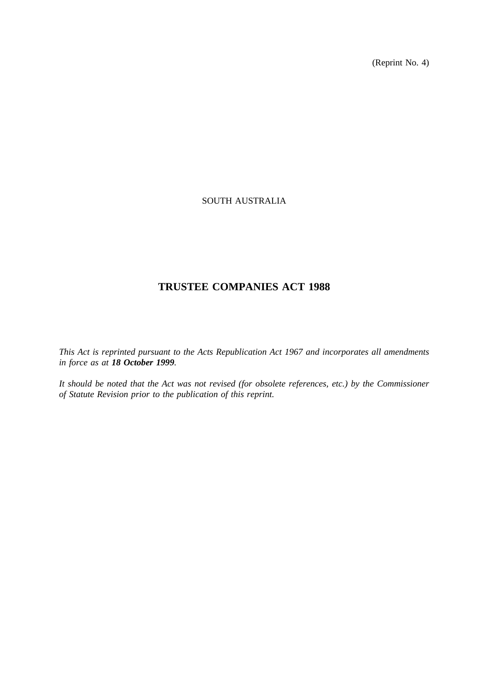(Reprint No. 4)

## SOUTH AUSTRALIA

# **TRUSTEE COMPANIES ACT 1988**

*This Act is reprinted pursuant to the Acts Republication Act 1967 and incorporates all amendments in force as at 18 October 1999.*

*It should be noted that the Act was not revised (for obsolete references, etc.) by the Commissioner of Statute Revision prior to the publication of this reprint.*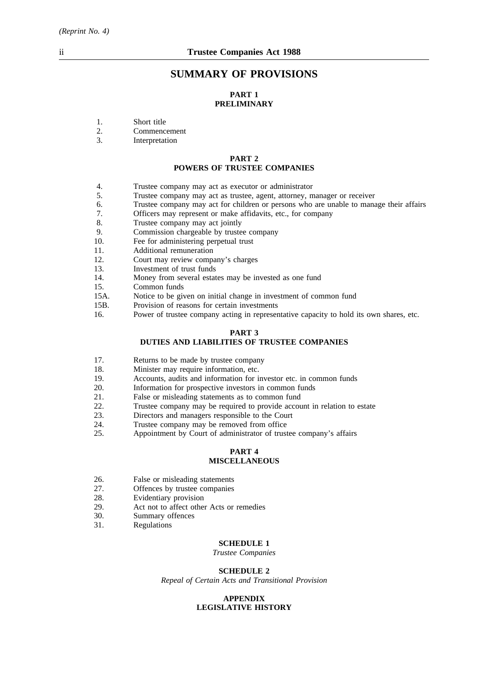## **SUMMARY OF PROVISIONS**

## **PART 1 PRELIMINARY**

- 1. Short title
- 2. Commencement
- 3. Interpretation

#### **PART 2 POWERS OF TRUSTEE COMPANIES**

- 4. Trustee company may act as executor or administrator
- 5. Trustee company may act as trustee, agent, attorney, manager or receiver
- 6. Trustee company may act for children or persons who are unable to manage their affairs
- 7. Officers may represent or make affidavits, etc., for company
- 8. Trustee company may act jointly
- 9. Commission chargeable by trustee company<br>10. Fee for administering perpetual trust
- Fee for administering perpetual trust
- 11. Additional remuneration
- 12. Court may review company's charges
- 13. Investment of trust funds
- 14. Money from several estates may be invested as one fund
- 15. Common funds
- 15A. Notice to be given on initial change in investment of common fund
- 15B. Provision of reasons for certain investments
- 16. Power of trustee company acting in representative capacity to hold its own shares, etc.

#### **PART 3**

## **DUTIES AND LIABILITIES OF TRUSTEE COMPANIES**

- 17. Returns to be made by trustee company
- 18. Minister may require information, etc.
- 19. Accounts, audits and information for investor etc. in common funds
- 20. Information for prospective investors in common funds
- 21. False or misleading statements as to common fund
- 22. Trustee company may be required to provide account in relation to estate
- 23. Directors and managers responsible to the Court
- 24. Trustee company may be removed from office
- 25. Appointment by Court of administrator of trustee company's affairs

#### **PART 4 MISCELLANEOUS**

- 26. False or misleading statements<br>27. Offences by trustee companies
- 27. Offences by trustee companies<br>28. Evidentiary provision
- 28. Evidentiary provision<br>29. Act not to affect other
- Act not to affect other Acts or remedies
- 30. Summary offences
- 31. Regulations

#### **SCHEDULE 1**

*Trustee Companies*

#### **SCHEDULE 2**

*Repeal of Certain Acts and Transitional Provision*

#### **APPENDIX LEGISLATIVE HISTORY**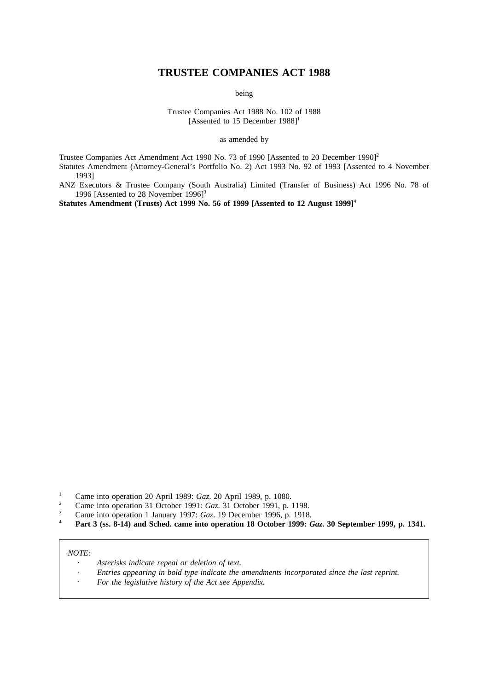## **TRUSTEE COMPANIES ACT 1988**

being

Trustee Companies Act 1988 No. 102 of 1988 [Assented to 15 December 1988]<sup>1</sup>

as amended by

Trustee Companies Act Amendment Act 1990 No. 73 of 1990 [Assented to 20 December 1990]<sup>2</sup> Statutes Amendment (Attorney-General's Portfolio No. 2) Act 1993 No. 92 of 1993 [Assented to 4 November 1993]

ANZ Executors & Trustee Company (South Australia) Limited (Transfer of Business) Act 1996 No. 78 of 1996 [Assented to 28 November 1996]<sup>3</sup>

Statutes Amendment (Trusts) Act 1999 No. 56 of 1999 [Assented to 12 August 1999]<sup>4</sup>

- <sup>2</sup> Came into operation 31 October 1991: *Gaz*. 31 October 1991, p. 1198.<br>
<sup>2</sup> Came into operation 1 January 1997: *Gaz*. 19 December 1996, p. 1918.
- <sup>3</sup> Came into operation 1 January 1997: *Gaz*. 19 December 1996, p. 1918.
- **<sup>4</sup> Part 3 (ss. 8-14) and Sched. came into operation 18 October 1999:** *Gaz***. 30 September 1999, p. 1341.**

#### *NOTE:*

- *Asterisks indicate repeal or deletion of text.*
- *Entries appearing in bold type indicate the amendments incorporated since the last reprint.*
- *For the legislative history of the Act see Appendix.*

<sup>1</sup> Came into operation 20 April 1989: *Gaz*. 20 April 1989, p. 1080.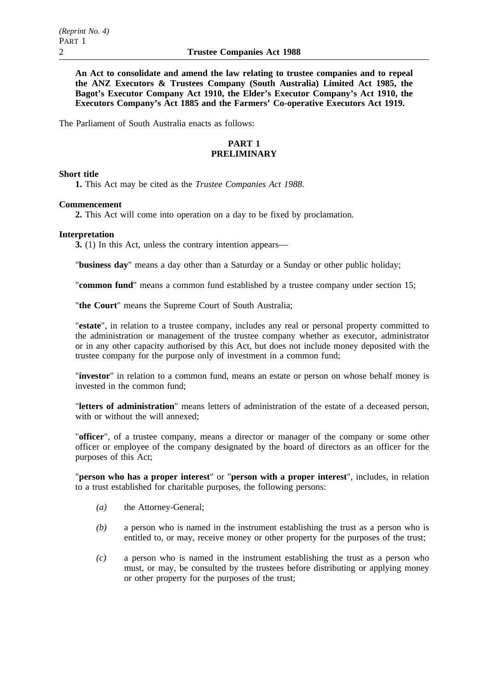**An Act to consolidate and amend the law relating to trustee companies and to repeal the ANZ Executors & Trustees Company (South Australia) Limited Act 1985, the Bagot's Executor Company Act 1910, the Elder's Executor Company's Act 1910, the Executors Company's Act 1885 and the Farmers' Co-operative Executors Act 1919.**

The Parliament of South Australia enacts as follows:

## **PART 1 PRELIMINARY**

## **Short title**

**1.** This Act may be cited as the *Trustee Companies Act 1988*.

## **Commencement**

**2.** This Act will come into operation on a day to be fixed by proclamation.

## **Interpretation**

**3.** (1) In this Act, unless the contrary intention appears—

"**business day**" means a day other than a Saturday or a Sunday or other public holiday;

"**common fund**" means a common fund established by a trustee company under section 15;

"**the Court**" means the Supreme Court of South Australia;

"**estate**", in relation to a trustee company, includes any real or personal property committed to the administration or management of the trustee company whether as executor, administrator or in any other capacity authorised by this Act, but does not include money deposited with the trustee company for the purpose only of investment in a common fund;

"**investor**" in relation to a common fund, means an estate or person on whose behalf money is invested in the common fund;

"**letters of administration**" means letters of administration of the estate of a deceased person, with or without the will annexed;

"**officer**", of a trustee company, means a director or manager of the company or some other officer or employee of the company designated by the board of directors as an officer for the purposes of this Act;

"**person who has a proper interest**" or "**person with a proper interest**", includes, in relation to a trust established for charitable purposes, the following persons:

- *(a)* the Attorney-General;
- *(b)* a person who is named in the instrument establishing the trust as a person who is entitled to, or may, receive money or other property for the purposes of the trust;
- *(c)* a person who is named in the instrument establishing the trust as a person who must, or may, be consulted by the trustees before distributing or applying money or other property for the purposes of the trust;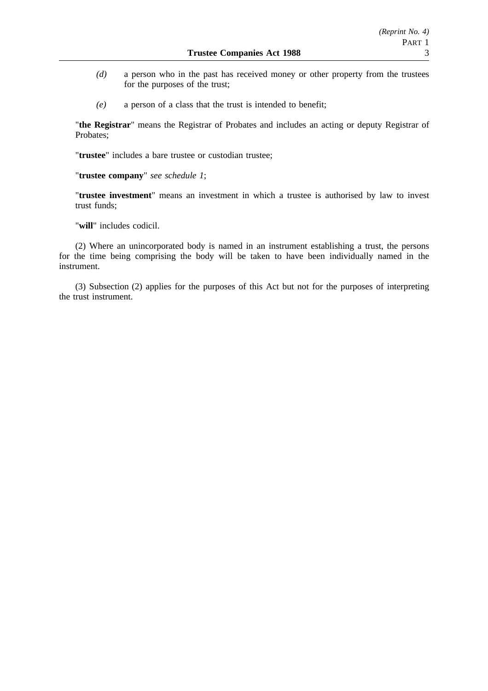- *(d)* a person who in the past has received money or other property from the trustees for the purposes of the trust;
- *(e)* a person of a class that the trust is intended to benefit;

"**the Registrar**" means the Registrar of Probates and includes an acting or deputy Registrar of Probates;

"**trustee**" includes a bare trustee or custodian trustee;

"**trustee company**" *see schedule 1*;

"**trustee investment**" means an investment in which a trustee is authorised by law to invest trust funds;

"**will**" includes codicil.

(2) Where an unincorporated body is named in an instrument establishing a trust, the persons for the time being comprising the body will be taken to have been individually named in the instrument.

(3) Subsection (2) applies for the purposes of this Act but not for the purposes of interpreting the trust instrument.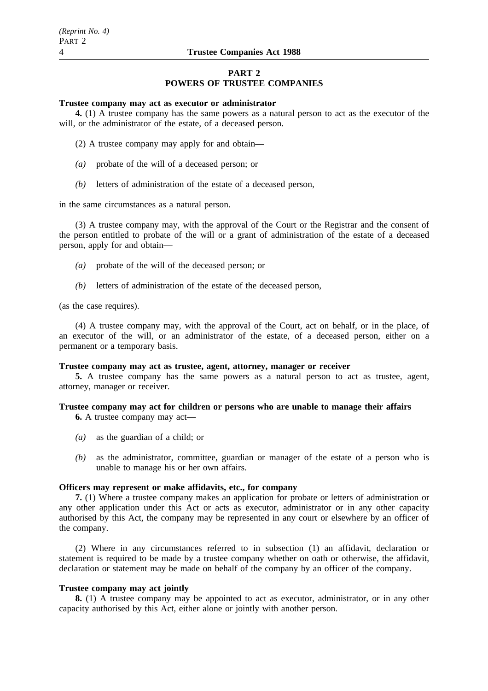## **PART 2 POWERS OF TRUSTEE COMPANIES**

#### **Trustee company may act as executor or administrator**

**4.** (1) A trustee company has the same powers as a natural person to act as the executor of the will, or the administrator of the estate, of a deceased person.

- (2) A trustee company may apply for and obtain—
- *(a)* probate of the will of a deceased person; or
- *(b)* letters of administration of the estate of a deceased person,

in the same circumstances as a natural person.

(3) A trustee company may, with the approval of the Court or the Registrar and the consent of the person entitled to probate of the will or a grant of administration of the estate of a deceased person, apply for and obtain—

- *(a)* probate of the will of the deceased person; or
- *(b)* letters of administration of the estate of the deceased person,

(as the case requires).

(4) A trustee company may, with the approval of the Court, act on behalf, or in the place, of an executor of the will, or an administrator of the estate, of a deceased person, either on a permanent or a temporary basis.

## **Trustee company may act as trustee, agent, attorney, manager or receiver**

**5.** A trustee company has the same powers as a natural person to act as trustee, agent, attorney, manager or receiver.

## **Trustee company may act for children or persons who are unable to manage their affairs**

**6.** A trustee company may act—

- *(a)* as the guardian of a child; or
- *(b)* as the administrator, committee, guardian or manager of the estate of a person who is unable to manage his or her own affairs.

## **Officers may represent or make affidavits, etc., for company**

**7.** (1) Where a trustee company makes an application for probate or letters of administration or any other application under this Act or acts as executor, administrator or in any other capacity authorised by this Act, the company may be represented in any court or elsewhere by an officer of the company.

(2) Where in any circumstances referred to in subsection (1) an affidavit, declaration or statement is required to be made by a trustee company whether on oath or otherwise, the affidavit, declaration or statement may be made on behalf of the company by an officer of the company.

## **Trustee company may act jointly**

**8.** (1) A trustee company may be appointed to act as executor, administrator, or in any other capacity authorised by this Act, either alone or jointly with another person.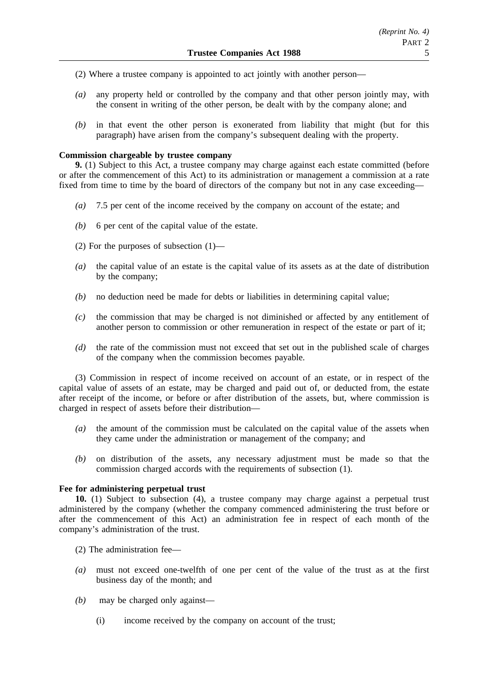- (2) Where a trustee company is appointed to act jointly with another person—
- *(a)* any property held or controlled by the company and that other person jointly may, with the consent in writing of the other person, be dealt with by the company alone; and
- *(b)* in that event the other person is exonerated from liability that might (but for this paragraph) have arisen from the company's subsequent dealing with the property.

#### **Commission chargeable by trustee company**

**9.** (1) Subject to this Act, a trustee company may charge against each estate committed (before or after the commencement of this Act) to its administration or management a commission at a rate fixed from time to time by the board of directors of the company but not in any case exceeding—

- *(a)* 7.5 per cent of the income received by the company on account of the estate; and
- *(b)* 6 per cent of the capital value of the estate.
- (2) For the purposes of subsection (1)—
- *(a)* the capital value of an estate is the capital value of its assets as at the date of distribution by the company;
- *(b)* no deduction need be made for debts or liabilities in determining capital value;
- *(c)* the commission that may be charged is not diminished or affected by any entitlement of another person to commission or other remuneration in respect of the estate or part of it;
- *(d)* the rate of the commission must not exceed that set out in the published scale of charges of the company when the commission becomes payable.

(3) Commission in respect of income received on account of an estate, or in respect of the capital value of assets of an estate, may be charged and paid out of, or deducted from, the estate after receipt of the income, or before or after distribution of the assets, but, where commission is charged in respect of assets before their distribution—

- *(a)* the amount of the commission must be calculated on the capital value of the assets when they came under the administration or management of the company; and
- *(b)* on distribution of the assets, any necessary adjustment must be made so that the commission charged accords with the requirements of subsection (1).

## **Fee for administering perpetual trust**

**10.** (1) Subject to subsection (4), a trustee company may charge against a perpetual trust administered by the company (whether the company commenced administering the trust before or after the commencement of this Act) an administration fee in respect of each month of the company's administration of the trust.

(2) The administration fee—

- *(a)* must not exceed one-twelfth of one per cent of the value of the trust as at the first business day of the month; and
- *(b)* may be charged only against—
	- (i) income received by the company on account of the trust;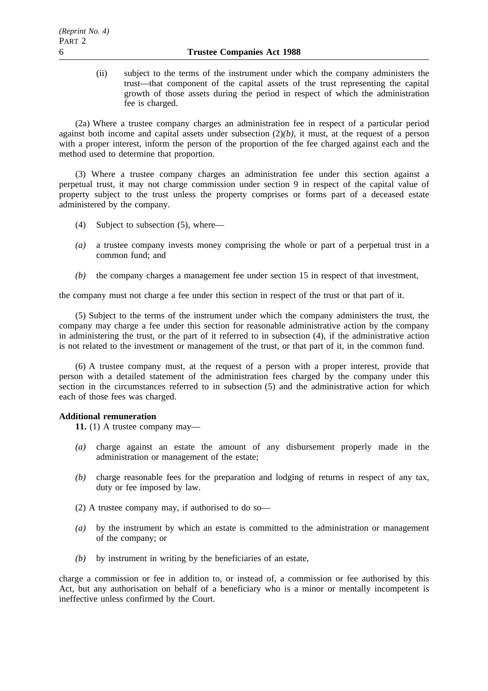(ii) subject to the terms of the instrument under which the company administers the trust—that component of the capital assets of the trust representing the capital growth of those assets during the period in respect of which the administration fee is charged.

(2a) Where a trustee company charges an administration fee in respect of a particular period against both income and capital assets under subsection (2)*(b)*, it must, at the request of a person with a proper interest, inform the person of the proportion of the fee charged against each and the method used to determine that proportion.

(3) Where a trustee company charges an administration fee under this section against a perpetual trust, it may not charge commission under section 9 in respect of the capital value of property subject to the trust unless the property comprises or forms part of a deceased estate administered by the company.

- (4) Subject to subsection (5), where—
- *(a)* a trustee company invests money comprising the whole or part of a perpetual trust in a common fund; and
- *(b)* the company charges a management fee under section 15 in respect of that investment,

the company must not charge a fee under this section in respect of the trust or that part of it.

(5) Subject to the terms of the instrument under which the company administers the trust, the company may charge a fee under this section for reasonable administrative action by the company in administering the trust, or the part of it referred to in subsection (4), if the administrative action is not related to the investment or management of the trust, or that part of it, in the common fund.

(6) A trustee company must, at the request of a person with a proper interest, provide that person with a detailed statement of the administration fees charged by the company under this section in the circumstances referred to in subsection (5) and the administrative action for which each of those fees was charged.

## **Additional remuneration**

**11.** (1) A trustee company may—

- *(a)* charge against an estate the amount of any disbursement properly made in the administration or management of the estate;
- *(b)* charge reasonable fees for the preparation and lodging of returns in respect of any tax, duty or fee imposed by law.
- (2) A trustee company may, if authorised to do so—
- *(a)* by the instrument by which an estate is committed to the administration or management of the company; or
- *(b)* by instrument in writing by the beneficiaries of an estate,

charge a commission or fee in addition to, or instead of, a commission or fee authorised by this Act, but any authorisation on behalf of a beneficiary who is a minor or mentally incompetent is ineffective unless confirmed by the Court.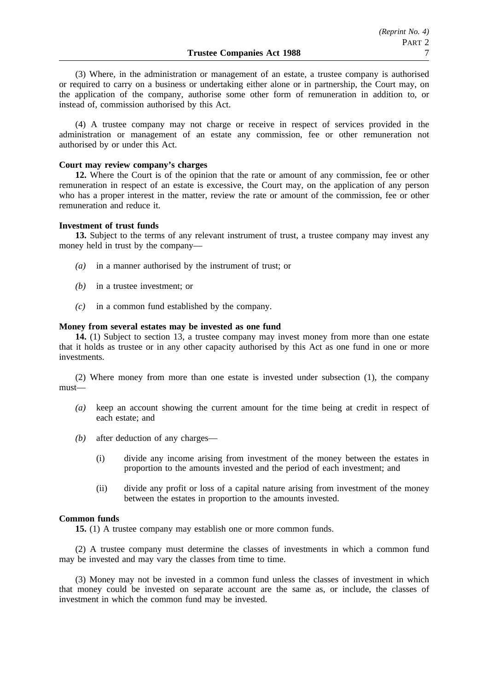(3) Where, in the administration or management of an estate, a trustee company is authorised or required to carry on a business or undertaking either alone or in partnership, the Court may, on the application of the company, authorise some other form of remuneration in addition to, or instead of, commission authorised by this Act.

(4) A trustee company may not charge or receive in respect of services provided in the administration or management of an estate any commission, fee or other remuneration not authorised by or under this Act.

#### **Court may review company's charges**

**12.** Where the Court is of the opinion that the rate or amount of any commission, fee or other remuneration in respect of an estate is excessive, the Court may, on the application of any person who has a proper interest in the matter, review the rate or amount of the commission, fee or other remuneration and reduce it.

#### **Investment of trust funds**

**13.** Subject to the terms of any relevant instrument of trust, a trustee company may invest any money held in trust by the company—

- *(a)* in a manner authorised by the instrument of trust; or
- *(b)* in a trustee investment; or
- *(c)* in a common fund established by the company.

#### **Money from several estates may be invested as one fund**

**14.** (1) Subject to section 13, a trustee company may invest money from more than one estate that it holds as trustee or in any other capacity authorised by this Act as one fund in one or more investments.

(2) Where money from more than one estate is invested under subsection (1), the company must—

- *(a)* keep an account showing the current amount for the time being at credit in respect of each estate; and
- *(b)* after deduction of any charges—
	- (i) divide any income arising from investment of the money between the estates in proportion to the amounts invested and the period of each investment; and
	- (ii) divide any profit or loss of a capital nature arising from investment of the money between the estates in proportion to the amounts invested.

## **Common funds**

**15.** (1) A trustee company may establish one or more common funds.

(2) A trustee company must determine the classes of investments in which a common fund may be invested and may vary the classes from time to time.

(3) Money may not be invested in a common fund unless the classes of investment in which that money could be invested on separate account are the same as, or include, the classes of investment in which the common fund may be invested.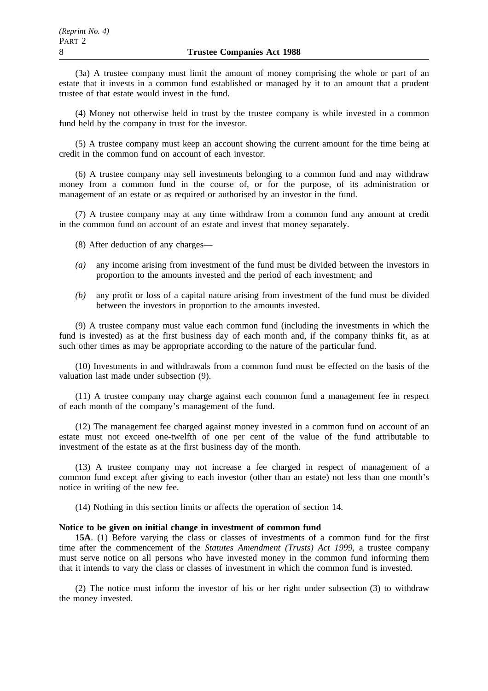(3a) A trustee company must limit the amount of money comprising the whole or part of an estate that it invests in a common fund established or managed by it to an amount that a prudent trustee of that estate would invest in the fund.

(4) Money not otherwise held in trust by the trustee company is while invested in a common fund held by the company in trust for the investor.

(5) A trustee company must keep an account showing the current amount for the time being at credit in the common fund on account of each investor.

(6) A trustee company may sell investments belonging to a common fund and may withdraw money from a common fund in the course of, or for the purpose, of its administration or management of an estate or as required or authorised by an investor in the fund.

(7) A trustee company may at any time withdraw from a common fund any amount at credit in the common fund on account of an estate and invest that money separately.

(8) After deduction of any charges—

- *(a)* any income arising from investment of the fund must be divided between the investors in proportion to the amounts invested and the period of each investment; and
- *(b)* any profit or loss of a capital nature arising from investment of the fund must be divided between the investors in proportion to the amounts invested.

(9) A trustee company must value each common fund (including the investments in which the fund is invested) as at the first business day of each month and, if the company thinks fit, as at such other times as may be appropriate according to the nature of the particular fund.

(10) Investments in and withdrawals from a common fund must be effected on the basis of the valuation last made under subsection (9).

(11) A trustee company may charge against each common fund a management fee in respect of each month of the company's management of the fund.

(12) The management fee charged against money invested in a common fund on account of an estate must not exceed one-twelfth of one per cent of the value of the fund attributable to investment of the estate as at the first business day of the month.

(13) A trustee company may not increase a fee charged in respect of management of a common fund except after giving to each investor (other than an estate) not less than one month's notice in writing of the new fee.

(14) Nothing in this section limits or affects the operation of section 14.

#### **Notice to be given on initial change in investment of common fund**

**15A**. (1) Before varying the class or classes of investments of a common fund for the first time after the commencement of the *Statutes Amendment (Trusts) Act 1999*, a trustee company must serve notice on all persons who have invested money in the common fund informing them that it intends to vary the class or classes of investment in which the common fund is invested.

(2) The notice must inform the investor of his or her right under subsection (3) to withdraw the money invested.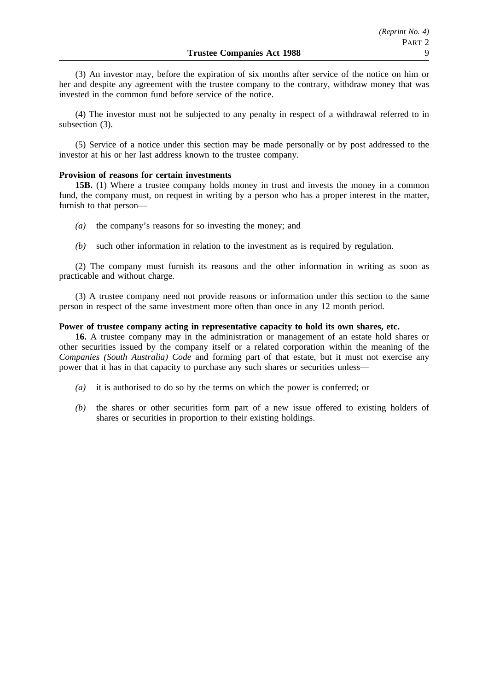(3) An investor may, before the expiration of six months after service of the notice on him or her and despite any agreement with the trustee company to the contrary, withdraw money that was invested in the common fund before service of the notice.

(4) The investor must not be subjected to any penalty in respect of a withdrawal referred to in subsection (3).

(5) Service of a notice under this section may be made personally or by post addressed to the investor at his or her last address known to the trustee company.

## **Provision of reasons for certain investments**

**15B.** (1) Where a trustee company holds money in trust and invests the money in a common fund, the company must, on request in writing by a person who has a proper interest in the matter, furnish to that person—

- *(a)* the company's reasons for so investing the money; and
- *(b)* such other information in relation to the investment as is required by regulation.

(2) The company must furnish its reasons and the other information in writing as soon as practicable and without charge.

(3) A trustee company need not provide reasons or information under this section to the same person in respect of the same investment more often than once in any 12 month period.

## **Power of trustee company acting in representative capacity to hold its own shares, etc.**

**16.** A trustee company may in the administration or management of an estate hold shares or other securities issued by the company itself or a related corporation within the meaning of the *Companies (South Australia) Code* and forming part of that estate, but it must not exercise any power that it has in that capacity to purchase any such shares or securities unless—

- *(a)* it is authorised to do so by the terms on which the power is conferred; or
- *(b)* the shares or other securities form part of a new issue offered to existing holders of shares or securities in proportion to their existing holdings.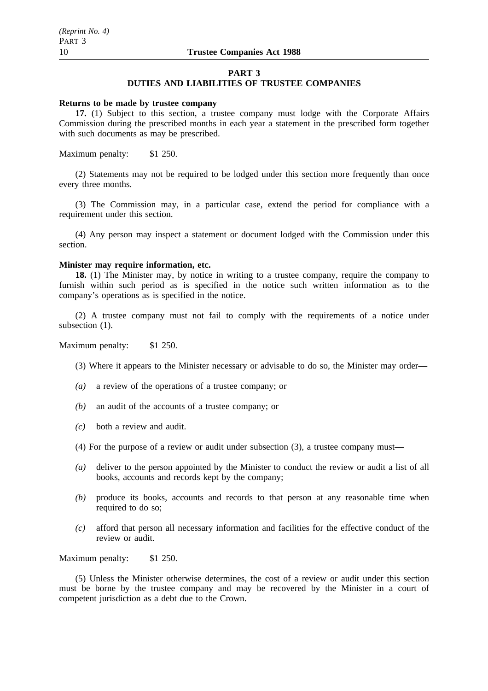#### **PART 3**

## **DUTIES AND LIABILITIES OF TRUSTEE COMPANIES**

#### **Returns to be made by trustee company**

**17.** (1) Subject to this section, a trustee company must lodge with the Corporate Affairs Commission during the prescribed months in each year a statement in the prescribed form together with such documents as may be prescribed.

Maximum penalty: \$1 250.

(2) Statements may not be required to be lodged under this section more frequently than once every three months.

(3) The Commission may, in a particular case, extend the period for compliance with a requirement under this section.

(4) Any person may inspect a statement or document lodged with the Commission under this section.

## **Minister may require information, etc.**

**18.** (1) The Minister may, by notice in writing to a trustee company, require the company to furnish within such period as is specified in the notice such written information as to the company's operations as is specified in the notice.

(2) A trustee company must not fail to comply with the requirements of a notice under subsection  $(1)$ .

Maximum penalty: \$1 250.

- (3) Where it appears to the Minister necessary or advisable to do so, the Minister may order—
- *(a)* a review of the operations of a trustee company; or
- *(b)* an audit of the accounts of a trustee company; or
- *(c)* both a review and audit.
- (4) For the purpose of a review or audit under subsection (3), a trustee company must—
- *(a)* deliver to the person appointed by the Minister to conduct the review or audit a list of all books, accounts and records kept by the company;
- *(b)* produce its books, accounts and records to that person at any reasonable time when required to do so;
- *(c)* afford that person all necessary information and facilities for the effective conduct of the review or audit.

Maximum penalty: \$1 250.

(5) Unless the Minister otherwise determines, the cost of a review or audit under this section must be borne by the trustee company and may be recovered by the Minister in a court of competent jurisdiction as a debt due to the Crown.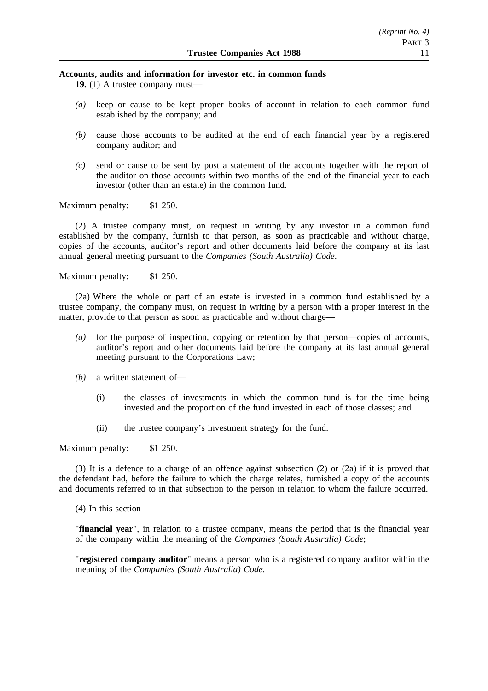#### **Accounts, audits and information for investor etc. in common funds**

**19.** (1) A trustee company must—

- *(a)* keep or cause to be kept proper books of account in relation to each common fund established by the company; and
- *(b)* cause those accounts to be audited at the end of each financial year by a registered company auditor; and
- *(c)* send or cause to be sent by post a statement of the accounts together with the report of the auditor on those accounts within two months of the end of the financial year to each investor (other than an estate) in the common fund.

Maximum penalty: \$1 250.

(2) A trustee company must, on request in writing by any investor in a common fund established by the company, furnish to that person, as soon as practicable and without charge, copies of the accounts, auditor's report and other documents laid before the company at its last annual general meeting pursuant to the *Companies (South Australia) Code*.

Maximum penalty: \$1 250.

(2a) Where the whole or part of an estate is invested in a common fund established by a trustee company, the company must, on request in writing by a person with a proper interest in the matter, provide to that person as soon as practicable and without charge—

- *(a)* for the purpose of inspection, copying or retention by that person—copies of accounts, auditor's report and other documents laid before the company at its last annual general meeting pursuant to the Corporations Law;
- *(b)* a written statement of—
	- (i) the classes of investments in which the common fund is for the time being invested and the proportion of the fund invested in each of those classes; and
	- (ii) the trustee company's investment strategy for the fund.

Maximum penalty: \$1 250.

(3) It is a defence to a charge of an offence against subsection (2) or (2a) if it is proved that the defendant had, before the failure to which the charge relates, furnished a copy of the accounts and documents referred to in that subsection to the person in relation to whom the failure occurred.

(4) In this section—

"**financial year**", in relation to a trustee company, means the period that is the financial year of the company within the meaning of the *Companies (South Australia) Code*;

"**registered company auditor**" means a person who is a registered company auditor within the meaning of the *Companies (South Australia) Code*.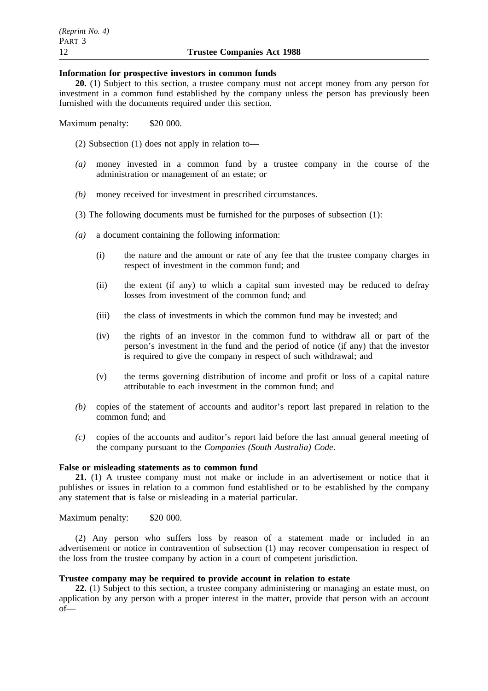#### **Information for prospective investors in common funds**

**20.** (1) Subject to this section, a trustee company must not accept money from any person for investment in a common fund established by the company unless the person has previously been furnished with the documents required under this section.

Maximum penalty: \$20 000.

(2) Subsection (1) does not apply in relation to—

- *(a)* money invested in a common fund by a trustee company in the course of the administration or management of an estate; or
- *(b)* money received for investment in prescribed circumstances.
- (3) The following documents must be furnished for the purposes of subsection (1):
- *(a)* a document containing the following information:
	- (i) the nature and the amount or rate of any fee that the trustee company charges in respect of investment in the common fund; and
	- (ii) the extent (if any) to which a capital sum invested may be reduced to defray losses from investment of the common fund; and
	- (iii) the class of investments in which the common fund may be invested; and
	- (iv) the rights of an investor in the common fund to withdraw all or part of the person's investment in the fund and the period of notice (if any) that the investor is required to give the company in respect of such withdrawal; and
	- (v) the terms governing distribution of income and profit or loss of a capital nature attributable to each investment in the common fund; and
- *(b)* copies of the statement of accounts and auditor's report last prepared in relation to the common fund; and
- *(c)* copies of the accounts and auditor's report laid before the last annual general meeting of the company pursuant to the *Companies (South Australia) Code*.

## **False or misleading statements as to common fund**

**21.** (1) A trustee company must not make or include in an advertisement or notice that it publishes or issues in relation to a common fund established or to be established by the company any statement that is false or misleading in a material particular.

Maximum penalty: \$20 000.

(2) Any person who suffers loss by reason of a statement made or included in an advertisement or notice in contravention of subsection (1) may recover compensation in respect of the loss from the trustee company by action in a court of competent jurisdiction.

## **Trustee company may be required to provide account in relation to estate**

**22.** (1) Subject to this section, a trustee company administering or managing an estate must, on application by any person with a proper interest in the matter, provide that person with an account of—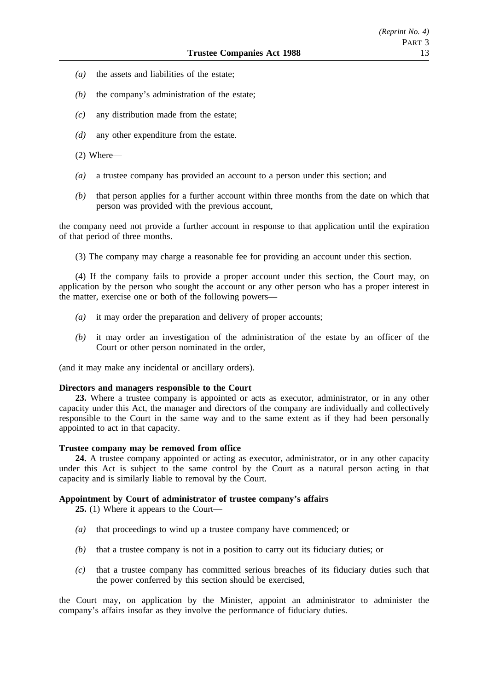- *(a)* the assets and liabilities of the estate;
- *(b)* the company's administration of the estate;
- *(c)* any distribution made from the estate;
- *(d)* any other expenditure from the estate.
- (2) Where—
- *(a)* a trustee company has provided an account to a person under this section; and
- *(b)* that person applies for a further account within three months from the date on which that person was provided with the previous account,

the company need not provide a further account in response to that application until the expiration of that period of three months.

(3) The company may charge a reasonable fee for providing an account under this section.

(4) If the company fails to provide a proper account under this section, the Court may, on application by the person who sought the account or any other person who has a proper interest in the matter, exercise one or both of the following powers—

- *(a)* it may order the preparation and delivery of proper accounts;
- *(b)* it may order an investigation of the administration of the estate by an officer of the Court or other person nominated in the order,

(and it may make any incidental or ancillary orders).

#### **Directors and managers responsible to the Court**

**23.** Where a trustee company is appointed or acts as executor, administrator, or in any other capacity under this Act, the manager and directors of the company are individually and collectively responsible to the Court in the same way and to the same extent as if they had been personally appointed to act in that capacity.

#### **Trustee company may be removed from office**

**24.** A trustee company appointed or acting as executor, administrator, or in any other capacity under this Act is subject to the same control by the Court as a natural person acting in that capacity and is similarly liable to removal by the Court.

### **Appointment by Court of administrator of trustee company's affairs**

**25.** (1) Where it appears to the Court—

- *(a)* that proceedings to wind up a trustee company have commenced; or
- *(b)* that a trustee company is not in a position to carry out its fiduciary duties; or
- *(c)* that a trustee company has committed serious breaches of its fiduciary duties such that the power conferred by this section should be exercised,

the Court may, on application by the Minister, appoint an administrator to administer the company's affairs insofar as they involve the performance of fiduciary duties.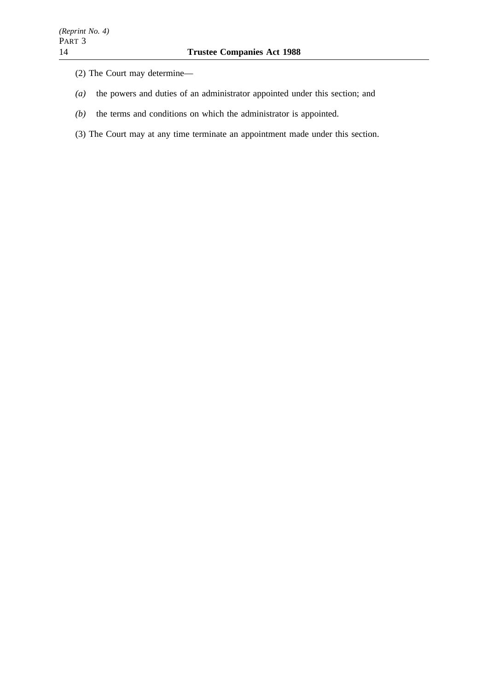- (2) The Court may determine—
- *(a)* the powers and duties of an administrator appointed under this section; and
- *(b)* the terms and conditions on which the administrator is appointed.
- (3) The Court may at any time terminate an appointment made under this section.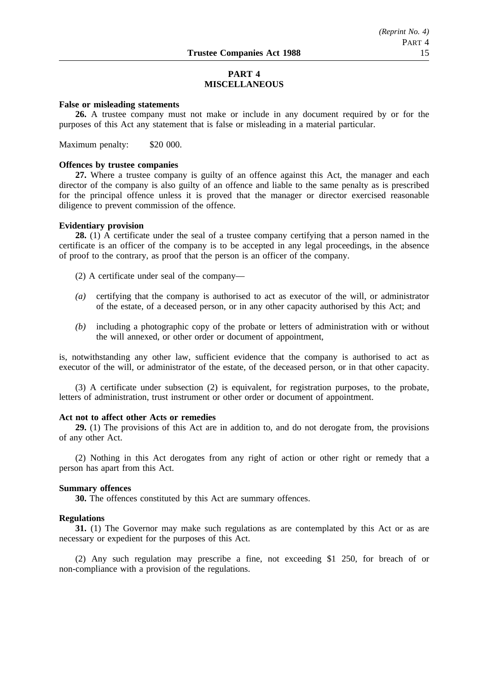## **PART 4 MISCELLANEOUS**

## **False or misleading statements**

**26.** A trustee company must not make or include in any document required by or for the purposes of this Act any statement that is false or misleading in a material particular.

Maximum penalty: \$20 000.

#### **Offences by trustee companies**

**27.** Where a trustee company is guilty of an offence against this Act, the manager and each director of the company is also guilty of an offence and liable to the same penalty as is prescribed for the principal offence unless it is proved that the manager or director exercised reasonable diligence to prevent commission of the offence.

#### **Evidentiary provision**

**28.** (1) A certificate under the seal of a trustee company certifying that a person named in the certificate is an officer of the company is to be accepted in any legal proceedings, in the absence of proof to the contrary, as proof that the person is an officer of the company.

(2) A certificate under seal of the company—

- *(a)* certifying that the company is authorised to act as executor of the will, or administrator of the estate, of a deceased person, or in any other capacity authorised by this Act; and
- *(b)* including a photographic copy of the probate or letters of administration with or without the will annexed, or other order or document of appointment,

is, notwithstanding any other law, sufficient evidence that the company is authorised to act as executor of the will, or administrator of the estate, of the deceased person, or in that other capacity.

(3) A certificate under subsection (2) is equivalent, for registration purposes, to the probate, letters of administration, trust instrument or other order or document of appointment.

## **Act not to affect other Acts or remedies**

**29.** (1) The provisions of this Act are in addition to, and do not derogate from, the provisions of any other Act.

(2) Nothing in this Act derogates from any right of action or other right or remedy that a person has apart from this Act.

#### **Summary offences**

**30.** The offences constituted by this Act are summary offences.

## **Regulations**

**31.** (1) The Governor may make such regulations as are contemplated by this Act or as are necessary or expedient for the purposes of this Act.

(2) Any such regulation may prescribe a fine, not exceeding \$1 250, for breach of or non-compliance with a provision of the regulations.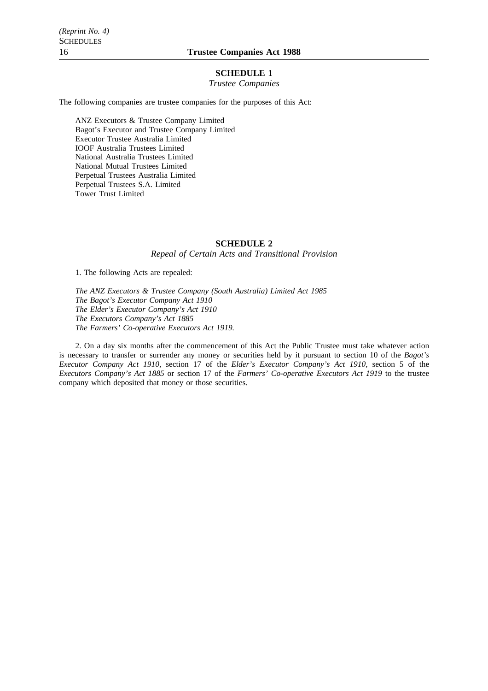### **SCHEDULE 1**

*Trustee Companies*

The following companies are trustee companies for the purposes of this Act:

ANZ Executors & Trustee Company Limited Bagot's Executor and Trustee Company Limited Executor Trustee Australia Limited IOOF Australia Trustees Limited National Australia Trustees Limited National Mutual Trustees Limited Perpetual Trustees Australia Limited Perpetual Trustees S.A. Limited Tower Trust Limited

#### **SCHEDULE 2**

*Repeal of Certain Acts and Transitional Provision*

1. The following Acts are repealed:

*The ANZ Executors & Trustee Company (South Australia) Limited Act 1985 The Bagot's Executor Company Act 1910 The Elder's Executor Company's Act 1910 The Executors Company's Act 1885 The Farmers' Co-operative Executors Act 1919.*

2. On a day six months after the commencement of this Act the Public Trustee must take whatever action is necessary to transfer or surrender any money or securities held by it pursuant to section 10 of the *Bagot's Executor Company Act 1910*, section 17 of the *Elder's Executor Company's Act 1910*, section 5 of the *Executors Company's Act 1885* or section 17 of the *Farmers' Co-operative Executors Act 1919* to the trustee company which deposited that money or those securities.